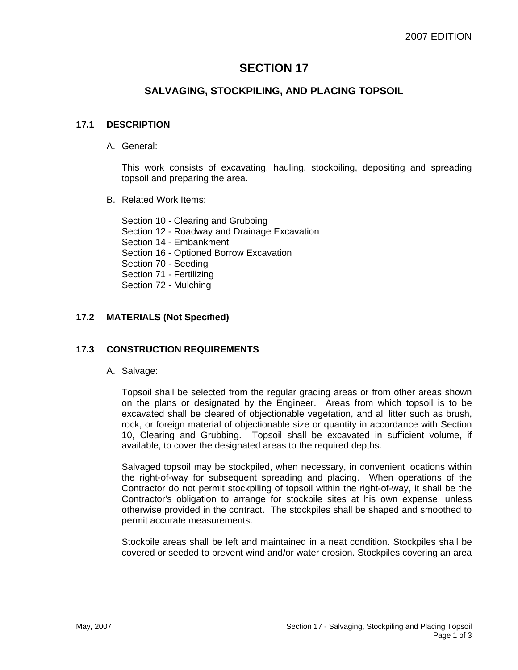# **SECTION 17**

## **SALVAGING, STOCKPILING, AND PLACING TOPSOIL**

#### **17.1 DESCRIPTION**

A. General:

This work consists of excavating, hauling, stockpiling, depositing and spreading topsoil and preparing the area.

B. Related Work Items:

Section 10 - Clearing and Grubbing Section 12 - Roadway and Drainage Excavation Section 14 - Embankment Section 16 - Optioned Borrow Excavation Section 70 - Seeding Section 71 - Fertilizing Section 72 - Mulching

## **17.2 MATERIALS (Not Specified)**

## **17.3 CONSTRUCTION REQUIREMENTS**

A. Salvage:

Topsoil shall be selected from the regular grading areas or from other areas shown on the plans or designated by the Engineer. Areas from which topsoil is to be excavated shall be cleared of objectionable vegetation, and all litter such as brush, rock, or foreign material of objectionable size or quantity in accordance with Section 10, Clearing and Grubbing. Topsoil shall be excavated in sufficient volume, if available, to cover the designated areas to the required depths.

Salvaged topsoil may be stockpiled, when necessary, in convenient locations within the right-of-way for subsequent spreading and placing. When operations of the Contractor do not permit stockpiling of topsoil within the right-of-way, it shall be the Contractor's obligation to arrange for stockpile sites at his own expense, unless otherwise provided in the contract. The stockpiles shall be shaped and smoothed to permit accurate measurements.

Stockpile areas shall be left and maintained in a neat condition. Stockpiles shall be covered or seeded to prevent wind and/or water erosion. Stockpiles covering an area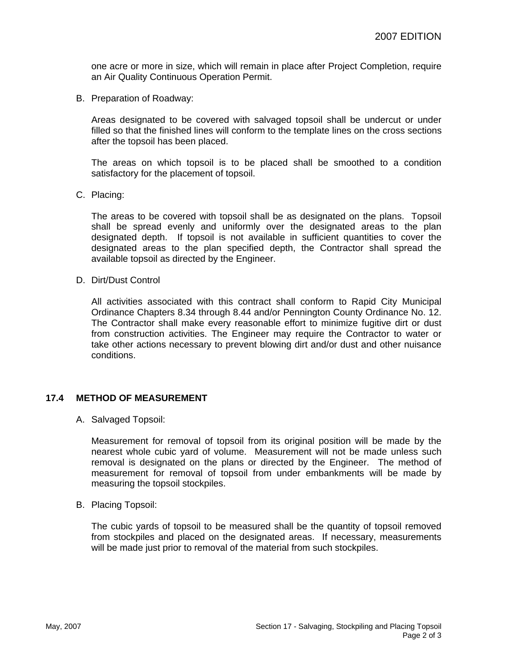one acre or more in size, which will remain in place after Project Completion, require an Air Quality Continuous Operation Permit.

B. Preparation of Roadway:

Areas designated to be covered with salvaged topsoil shall be undercut or under filled so that the finished lines will conform to the template lines on the cross sections after the topsoil has been placed.

The areas on which topsoil is to be placed shall be smoothed to a condition satisfactory for the placement of topsoil.

C. Placing:

The areas to be covered with topsoil shall be as designated on the plans. Topsoil shall be spread evenly and uniformly over the designated areas to the plan designated depth. If topsoil is not available in sufficient quantities to cover the designated areas to the plan specified depth, the Contractor shall spread the available topsoil as directed by the Engineer.

D. Dirt/Dust Control

All activities associated with this contract shall conform to Rapid City Municipal Ordinance Chapters 8.34 through 8.44 and/or Pennington County Ordinance No. 12. The Contractor shall make every reasonable effort to minimize fugitive dirt or dust from construction activities. The Engineer may require the Contractor to water or take other actions necessary to prevent blowing dirt and/or dust and other nuisance conditions.

#### **17.4 METHOD OF MEASUREMENT**

A. Salvaged Topsoil:

Measurement for removal of topsoil from its original position will be made by the nearest whole cubic yard of volume. Measurement will not be made unless such removal is designated on the plans or directed by the Engineer. The method of measurement for removal of topsoil from under embankments will be made by measuring the topsoil stockpiles.

B. Placing Topsoil:

The cubic yards of topsoil to be measured shall be the quantity of topsoil removed from stockpiles and placed on the designated areas. If necessary, measurements will be made just prior to removal of the material from such stockpiles.